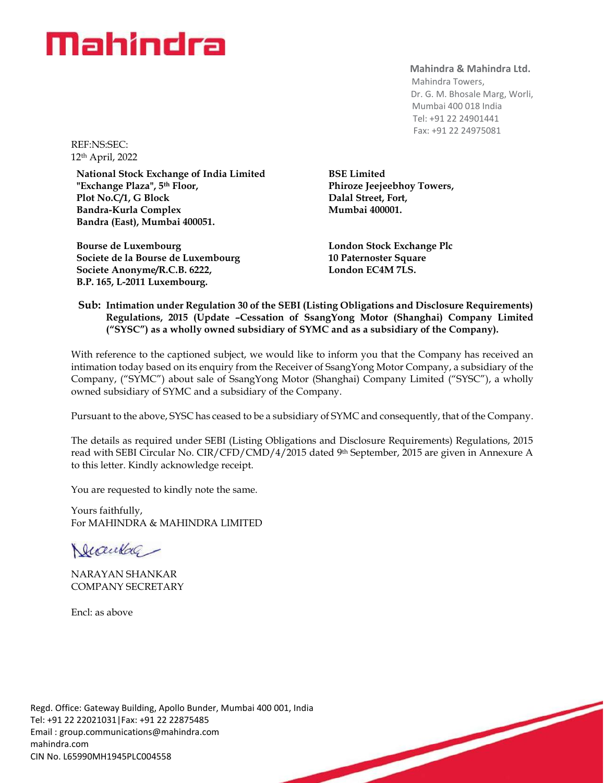## Mahindra

**Mahindra & Mahindra Ltd.**

 Mahindra Towers, Dr. G. M. Bhosale Marg, Worli, Mumbai 400 018 India Tel: +91 22 24901441 Fax: +91 22 24975081

REF:NS:SEC: 12th April, 2022

**National Stock Exchange of India Limited "Exchange Plaza", 5th Floor, Plot No.C/1, G Block Bandra-Kurla Complex Bandra (East), Mumbai 400051.**

**Bourse de Luxembourg Societe de la Bourse de Luxembourg Societe Anonyme/R.C.B. 6222, B.P. 165, L-2011 Luxembourg.**

**BSE Limited Phiroze Jeejeebhoy Towers, Dalal Street, Fort, Mumbai 400001.**

**London Stock Exchange Plc 10 Paternoster Square London EC4M 7LS.**

#### **Sub: Intimation under Regulation 30 of the SEBI (Listing Obligations and Disclosure Requirements) Regulations, 2015 (Update –Cessation of SsangYong Motor (Shanghai) Company Limited ("SYSC") as a wholly owned subsidiary of SYMC and as a subsidiary of the Company).**

With reference to the captioned subject, we would like to inform you that the Company has received an intimation today based on its enquiry from the Receiver of SsangYong Motor Company, a subsidiary of the Company, ("SYMC") about sale of SsangYong Motor (Shanghai) Company Limited ("SYSC"), a wholly owned subsidiary of SYMC and a subsidiary of the Company.

Pursuant to the above, SYSC has ceased to be a subsidiary of SYMC and consequently, that of the Company.

The details as required under SEBI (Listing Obligations and Disclosure Requirements) Regulations, 2015 read with SEBI Circular No. CIR/CFD/CMD/4/2015 dated 9<sup>th</sup> September, 2015 are given in Annexure A to this letter. Kindly acknowledge receipt.

You are requested to kindly note the same.

Yours faithfully, For MAHINDRA & MAHINDRA LIMITED

Mankal -

NARAYAN SHANKAR COMPANY SECRETARY

Encl: as above

Regd. Office: Gateway Building, Apollo Bunder, Mumbai 400 001, India Tel: +91 22 22021031|Fax: +91 22 22875485 Email : [group.communications@mahindra.com](mailto:group.communications@mahindra.com) mahindra.com CIN No. L65990MH1945PLC004558